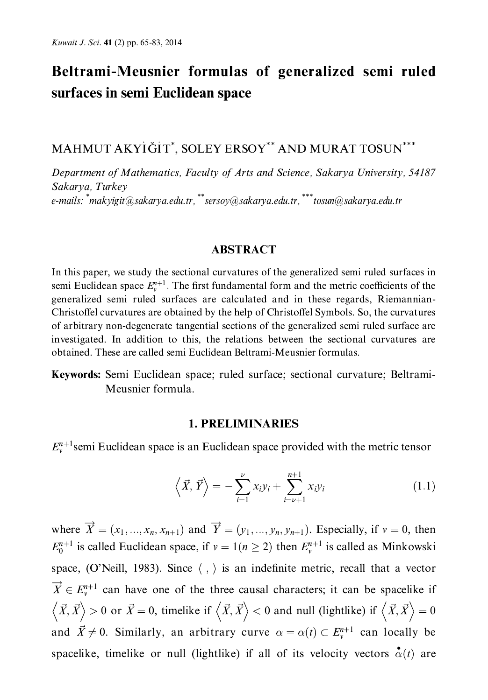# Beltrami-Meusnier formulas of generalized semi ruled surfaces in semi Euclidean space

MAHMUT AKYİĞİT\*. SOLEY ERSOY\*\* AND MURAT TOSUN\*\*\*

Department of Mathematics, Faculty of Arts and Science, Sakarya University, 54187 Sakarva, Turkev e-mails: \*makyigit@sakarya.edu.tr, \*\*sersoy@sakarya.edu.tr, \*\*\* tosun@sakarya.edu.tr

### **ABSTRACT**

In this paper, we study the sectional curvatures of the generalized semi ruled surfaces in semi Euclidean space  $E_{n}^{n+1}$ . The first fundamental form and the metric coefficients of the generalized semi ruled surfaces are calculated and in these regards, Riemannian-Christoffel curvatures are obtained by the help of Christoffel Symbols. So, the curvatures of arbitrary non-degenerate tangential sections of the generalized semi ruled surface are investigated. In addition to this, the relations between the sectional curvatures are obtained. These are called semi Euclidean Beltrami-Meusnier formulas.

Keywords: Semi Euclidean space; ruled surface; sectional curvature; Beltrami-Meusnier formula.

#### **1. PRELIMINARIES**

 $E_{n}^{n+1}$ semi Euclidean space is an Euclidean space provided with the metric tensor

$$
\left\langle \vec{X}, \vec{Y} \right\rangle = -\sum_{i=1}^{\nu} x_i y_i + \sum_{i=\nu+1}^{n+1} x_i y_i \tag{1.1}
$$

where  $\overrightarrow{X} = (x_1, ..., x_n, x_{n+1})$  and  $\overrightarrow{Y} = (y_1, ..., y_n, y_{n+1})$ . Especially, if  $v = 0$ , then  $E_0^{n+1}$  is called Euclidean space, if  $v = 1(n \ge 2)$  then  $E_v^{n+1}$  is called as Minkowski space, (O'Neill, 1983). Since  $\langle , \rangle$  is an indefinite metric, recall that a vector  $\overrightarrow{X} \in E_{v}^{n+1}$  can have one of the three causal characters; it can be spacelike if  $\langle \vec{X}, \vec{X} \rangle > 0$  or  $\vec{X} = 0$ , timelike if  $\langle \vec{X}, \vec{X} \rangle < 0$  and null (lightlike) if  $\langle \vec{X}, \vec{X} \rangle = 0$ and  $\vec{X} \neq 0$ . Similarly, an arbitrary curve  $\alpha = \alpha(t) \subset E_{\nu}^{n+1}$  can locally be spacelike, timelike or null (lightlike) if all of its velocity vectors  $\alpha(t)$  are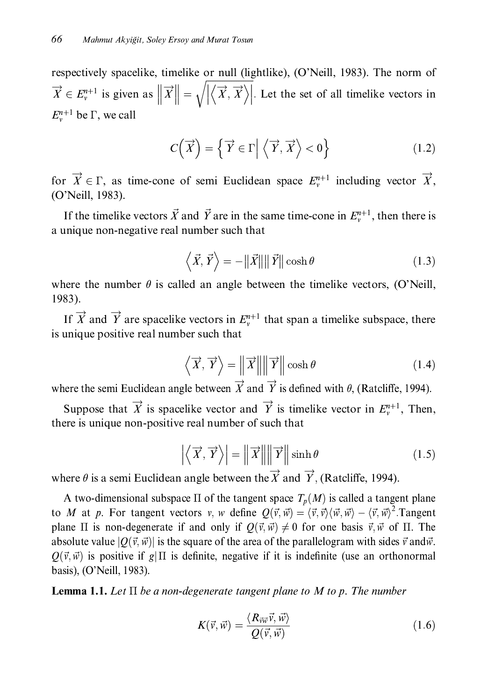respectively spacelike, timelike or null (lightlike), (O'Neill, 1983). The norm of  $\overrightarrow{X} \in E_{\nu}^{n+1}$  is given as  $\left\| \overrightarrow{X} \right\| = \sqrt{\left| \left\langle \overrightarrow{X}, \overrightarrow{X} \right\rangle \right|}$ . Let the set of all timelike vectors in  $E_{n+1}^{n+1}$  be  $\Gamma$ , we call

$$
C(\overrightarrow{X}) = \left\{ \overrightarrow{Y} \in \Gamma \middle| \left\langle \overrightarrow{Y}, \overrightarrow{X} \right\rangle < 0 \right\}
$$
 (1.2)

for  $\overrightarrow{X} \in \Gamma$ , as time-cone of semi-Euclidean space  $E_{\nu}^{n+1}$  including vector  $\overrightarrow{X}$ , (O'Neill, 1983).

If the timelike vectors  $\vec{X}$  and  $\vec{Y}$  are in the same time-cone in  $E_v^{n+1}$ , then there is a unique non-negative real number such that

$$
\langle \vec{X}, \vec{Y} \rangle = -\|\vec{X}\| \|\vec{Y}\| \cosh \theta \tag{1.3}
$$

where the number  $\theta$  is called an angle between the timelike vectors, (O'Neill, 1983).

If  $\overrightarrow{X}$  and  $\overrightarrow{Y}$  are spacelike vectors in  $E_{v}^{n+1}$  that span a timelike subspace, there is unique positive real number such that

$$
\left\langle \overrightarrow{X}, \overrightarrow{Y} \right\rangle = \left\| \overrightarrow{X} \right\| \left\| \overrightarrow{Y} \right\| \cosh \theta \tag{1.4}
$$

where the semi Euclidean angle between  $\overrightarrow{X}$  and  $\overrightarrow{Y}$  is defined with  $\theta$ , (Ratcliffe, 1994).

Suppose that  $\overrightarrow{X}$  is spacelike vector and  $\overrightarrow{Y}$  is timelike vector in  $E_v^{n+1}$ , Then, there is unique non-positive real number of such that

$$
\left| \left\langle \overrightarrow{X}, \overrightarrow{Y} \right\rangle \right| = \left\| \overrightarrow{X} \right\| \left\| \overrightarrow{Y} \right\| \sinh \theta \tag{1.5}
$$

where  $\theta$  is a semi Euclidean angle between the X and Y, (Ratcliffe, 1994).

A two-dimensional subspace  $\Pi$  of the tangent space  $T_p(M)$  is called a tangent plane to M at p. For tangent vectors v, w define  $Q(\vec{v}, \vec{w}) = \langle \vec{v}, \vec{v} \rangle \langle \vec{w}, \vec{w} \rangle - \langle \vec{v}, \vec{w} \rangle^2$ . Tangent plane  $\Pi$  is non-degenerate if and only if  $Q(\vec{v}, \vec{w}) \neq 0$  for one basis  $\vec{v}, \vec{w}$  of  $\Pi$ . The absolute value  $|Q(\vec{v}, \vec{w})|$  is the square of the area of the parallelogram with sides  $\vec{v}$  and  $\vec{w}$ .  $O(\vec{v}, \vec{w})$  is positive if g|  $\Pi$  is definite, negative if it is indefinite (use an orthonormal basis), (O'Neill, 1983).

**Lemma 1.1.** Let  $\Pi$  be a non-degenerate tangent plane to M to p. The number

$$
K(\vec{v}, \vec{w}) = \frac{\langle R_{\vec{v}\vec{w}} \vec{v}, \vec{w} \rangle}{Q(\vec{v}, \vec{w})}
$$
(1.6)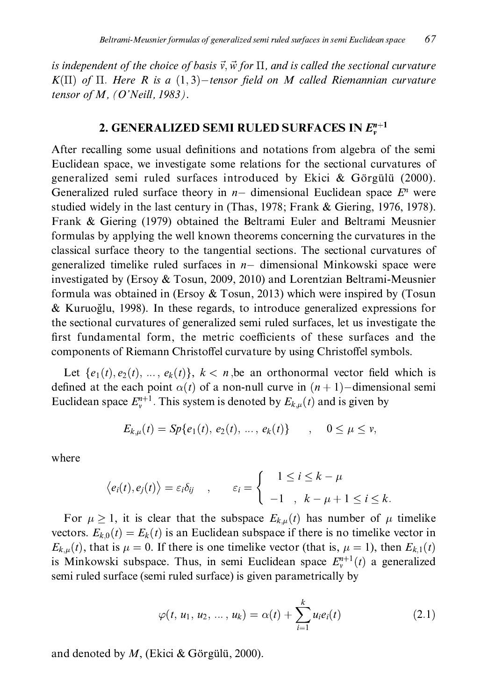is independent of the choice of basis  $\vec{v}, \vec{w}$  for  $\Pi$ , and is called the sectional curvature  $K(\Pi)$  of  $\Pi$ . Here R is a  $(1,3)$ -tensor field on M called Riemannian curvature tensor of M,  $(O'Neill, 1983)$ .

## 2. GENERALIZED SEMI RULED SURFACES IN  $E_v^{n+1}$

After recalling some usual definitions and notations from algebra of the semi Euclidean space, we investigate some relations for the sectional curvatures of generalized semi ruled surfaces introduced by Ekici  $\&$  Görgülü (2000). Generalized ruled surface theory in  $n-$  dimensional Euclidean space  $E^n$  were studied widely in the last century in (Thas, 1978; Frank  $&$  Giering, 1976, 1978). Frank & Giering (1979) obtained the Beltrami Euler and Beltrami Meusnier formulas by applying the well known theorems concerning the curvatures in the classical surface theory to the tangential sections. The sectional curvatures of generalized timelike ruled surfaces in  $n-$  dimensional Minkowski space were investigated by (Ersoy  $&$  Tosun, 2009, 2010) and Lorentzian Beltrami-Meusnier formula was obtained in (Ersoy & Tosun, 2013) which were inspired by (Tosun & Kuruoğlu, 1998). In these regards, to introduce generalized expressions for the sectional curvatures of generalized semi ruled surfaces, let us investigate the first fundamental form, the metric coefficients of these surfaces and the components of Riemann Christoffel curvature by using Christoffel symbols.

Let  $\{e_1(t), e_2(t), \ldots, e_k(t)\}\$ ,  $k < n$ , be an orthonormal vector field which is defined at the each point  $\alpha(t)$  of a non-null curve in  $(n + 1)$ -dimensional semi Euclidean space  $E_v^{n+1}$ . This system is denoted by  $E_{k,\mu}(t)$  and is given by

$$
E_{k,\mu}(t) = Sp\{e_1(t), e_2(t), ..., e_k(t)\} \qquad , \quad 0 \le \mu \le \nu,
$$

where

$$
\langle e_i(t), e_j(t) \rangle = \varepsilon_i \delta_{ij} \quad , \qquad \varepsilon_i = \begin{cases} 1 \leq i \leq k - \mu \\ -1, \quad k - \mu + 1 \leq i \leq k \end{cases}
$$

For  $\mu \ge 1$ , it is clear that the subspace  $E_{k,\mu}(t)$  has number of  $\mu$  timelike vectors.  $E_{k,0}(t) = E_k(t)$  is an Euclidean subspace if there is no timelike vector in  $E_{k,\mu}(t)$ , that is  $\mu = 0$ . If there is one timelike vector (that is,  $\mu = 1$ ), then  $E_{k,1}(t)$ is Minkowski subspace. Thus, in semi Euclidean space  $E_{\nu}^{n+1}(t)$  a generalized semi ruled surface (semi ruled surface) is given parametrically by

$$
\varphi(t, u_1, u_2, ..., u_k) = \alpha(t) + \sum_{i=1}^{k} u_i e_i(t)
$$
\n(2.1)

and denoted by  $M$ , (Ekici & Görgülü, 2000).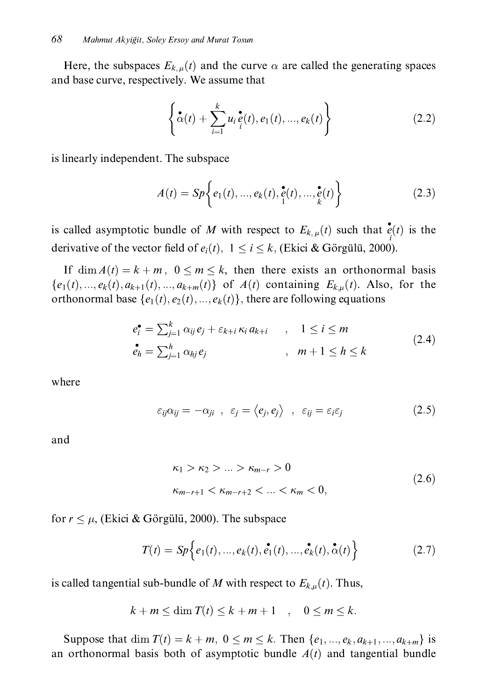Here, the subspaces  $E_{k,\mu}(t)$  and the curve  $\alpha$  are called the generating spaces and base curve, respectively. We assume that

$$
\left\{ \stackrel{\bullet}{\alpha}(t) + \sum_{i=1}^{k} u_i \stackrel{\bullet}{e}(t), e_1(t), ..., e_k(t) \right\}
$$
 (2.2)

is linearly independent. The subspace

$$
A(t) = Sp\left\{e_1(t), ..., e_k(t), \ddot{e}_1(t), ..., \ddot{e}_k(t)\right\}
$$
 (2.3)

is called asymptotic bundle of M with respect to  $E_{k,\mu}(t)$  such that  $\dot{e}(t)$  is the derivative of the vector field of  $e_i(t)$ ,  $1 \le i \le k$ , (Ekici & Görgülü, 2000).

If  $\dim A(t) = k + m$ ,  $0 \le m \le k$ , then there exists an orthonormal basis  ${e_1(t),...,e_k(t),a_{k+1}(t),...,a_{k+m}(t)}$  of  $A(t)$  containing  $E_{k,\mu}(t)$ . Also, for the orthonormal base  $\{e_1(t), e_2(t), ..., e_k(t)\}\$ , there are following equations

$$
e_i^{\bullet} = \sum_{j=1}^k \alpha_{ij} e_j + \varepsilon_{k+i} \kappa_i a_{k+i} \qquad , \quad 1 \le i \le m
$$
  
\n
$$
e_h^{\bullet} = \sum_{j=1}^h \alpha_{hj} e_j \qquad , \quad m+1 \le h \le k
$$
\n(2.4)

where

$$
\varepsilon_{ij}\alpha_{ij}=-\alpha_{ji} , \varepsilon_j=\langle e_j,e_j\rangle , \varepsilon_{ij}=\varepsilon_i\varepsilon_j \qquad (2.5)
$$

and

$$
\kappa_1 > \kappa_2 > \dots > \kappa_{m-r} > 0
$$
  
\n
$$
\kappa_{m-r+1} < \kappa_{m-r+2} < \dots < \kappa_m < 0,
$$
\n(2.6)

for  $r \leq \mu$ , (Ekici & Görgülü, 2000). The subspace

$$
T(t) = Sp\Big\{e_1(t), ..., e_k(t), \tilde{e_1}(t), ..., \tilde{e_k}(t), \tilde{\alpha}(t)\Big\}
$$
 (2.7)

is called tangential sub-bundle of M with respect to  $E_{k,\mu}(t)$ . Thus,

$$
k + m \le \dim T(t) \le k + m + 1 \quad , \quad 0 \le m \le k.
$$

Suppose that dim  $T(t) = k + m$ ,  $0 \le m \le k$ . Then  $\{e_1, ..., e_k, a_{k+1}, ..., a_{k+m}\}$  is an orthonormal basis both of asymptotic bundle  $A(t)$  and tangential bundle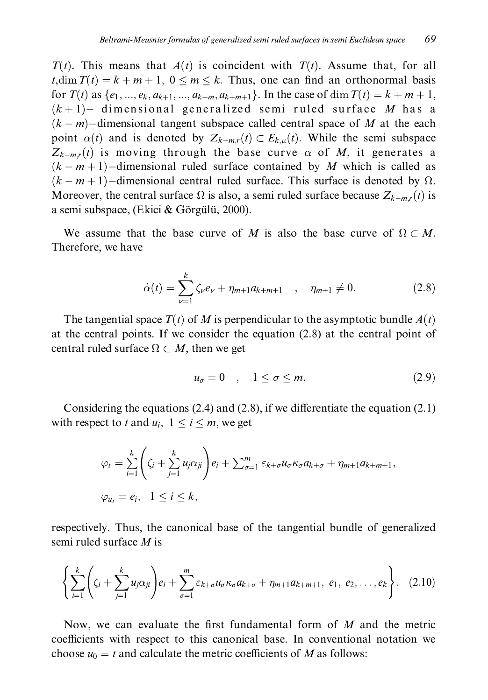$T(t)$ . This means that  $A(t)$  is coincident with  $T(t)$ . Assume that, for all *t*, dim  $T(t) = k + m + 1$ ,  $0 \le m \le k$ . Thus, one can find an orthonormal basis for  $T(t)$  as  $\{e_1, ..., e_k, a_{k+1}, ..., a_{k+m}, a_{k+m+1}\}\$ . In the case of dim  $T(t) = k + m + 1$ ,  $(k+1)$ - dimensional generalized semi ruled surface M has a  $(k-m)$ -dimensional tangent subspace called central space of M at the each point  $\alpha(t)$  and is denoted by  $Z_{k-m,r}(t) \subset E_{k,\mu}(t)$ . While the semi subspace  $Z_{k-m,r}(t)$  is moving through the base curve  $\alpha$  of M, it generates a  $(k-m+1)$ -dimensional ruled surface contained by M which is called as  $(k-m+1)$ -dimensional central ruled surface. This surface is denoted by  $\Omega$ . Moreover, the central surface  $\Omega$  is also, a semi ruled surface because  $Z_{k-m,r}(t)$  is a semi subspace, (Ekici & Görgülü, 2000).

We assume that the base curve of M is also the base curve of  $\Omega \subset M$ . Therefore, we have

$$
\dot{\alpha}(t) = \sum_{\nu=1}^{k} \zeta_{\nu} e_{\nu} + \eta_{m+1} a_{k+m+1} \quad , \quad \eta_{m+1} \neq 0.
$$
 (2.8)

The tangential space  $T(t)$  of M is perpendicular to the asymptotic bundle  $A(t)$ at the central points. If we consider the equation  $(2.8)$  at the central point of central ruled surface  $\Omega \subset M$ , then we get

$$
u_{\sigma} = 0 \quad , \quad 1 \le \sigma \le m. \tag{2.9}
$$

Considering the equations  $(2.4)$  and  $(2.8)$ , if we differentiate the equation  $(2.1)$ with respect to t and  $u_i$ ,  $1 \le i \le m$ , we get

$$
\varphi_t = \sum_{i=1}^k \left( \zeta_i + \sum_{j=1}^k u_j \alpha_{ji} \right) e_i + \sum_{\sigma=1}^m \varepsilon_{k+\sigma} u_\sigma \kappa_\sigma a_{k+\sigma} + \eta_{m+1} a_{k+m+1},
$$
  

$$
\varphi_{u_i} = e_i, \quad 1 \le i \le k,
$$

respectively. Thus, the canonical base of the tangential bundle of generalized semi ruled surface  $M$  is

$$
\left\{\sum_{i=1}^{k} \left(\zeta_i + \sum_{j=1}^{k} u_j \alpha_{ji}\right) e_i + \sum_{\sigma=1}^{m} \varepsilon_{k+\sigma} u_{\sigma} \kappa_{\sigma} a_{k+\sigma} + \eta_{m+1} a_{k+m+1}, e_1, e_2, \ldots, e_k\right\}.
$$
 (2.10)

Now, we can evaluate the first fundamental form of  $M$  and the metric coefficients with respect to this canonical base. In conventional notation we choose  $u_0 = t$  and calculate the metric coefficients of M as follows: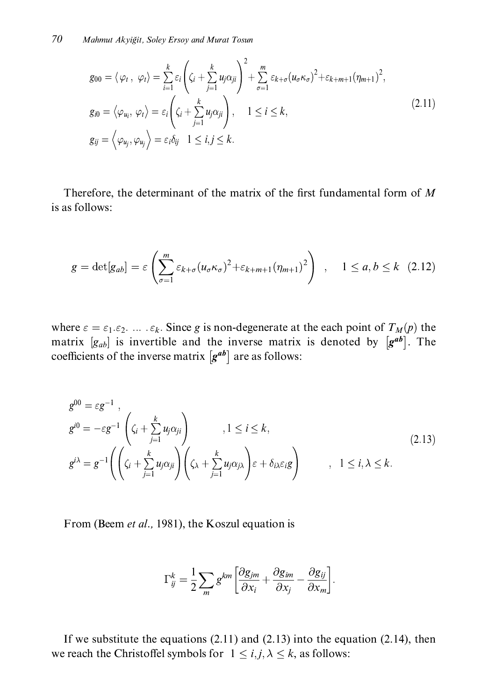$$
g_{00} = \langle \varphi_t, \varphi_t \rangle = \sum_{i=1}^k \varepsilon_i \left( \zeta_i + \sum_{j=1}^k u_j \alpha_{ji} \right)^2 + \sum_{\sigma=1}^m \varepsilon_{k+\sigma} (u_\sigma \kappa_\sigma)^2 + \varepsilon_{k+m+1} (\eta_{m+1})^2,
$$
  
\n
$$
g_{i0} = \langle \varphi_{u_i}, \varphi_t \rangle = \varepsilon_i \left( \zeta_i + \sum_{j=1}^k u_j \alpha_{ji} \right), \quad 1 \le i \le k,
$$
  
\n
$$
g_{ij} = \langle \varphi_{u_j}, \varphi_{u_j} \rangle = \varepsilon_i \delta_{ij} \quad 1 \le i, j \le k.
$$
\n(2.11)

Therefore, the determinant of the matrix of the first fundamental form of  $M$ is as follows:

$$
g = \det[g_{ab}] = \varepsilon \left( \sum_{\sigma=1}^m \varepsilon_{k+\sigma} (u_{\sigma} \kappa_{\sigma})^2 + \varepsilon_{k+m+1} (\eta_{m+1})^2 \right) , \quad 1 \le a, b \le k \quad (2.12)
$$

where  $\varepsilon = \varepsilon_1 \varepsilon_2$ . ...  $\varepsilon_k$ . Since g is non-degenerate at the each point of  $T_M(p)$  the matrix  $[g_{ab}]$  is invertible and the inverse matrix is denoted by  $[g^{ab}]$ . The coefficients of the inverse matrix  $[g^{ab}]$  are as follows:

$$
g^{00} = \varepsilon g^{-1},
$$
  
\n
$$
g^{i0} = -\varepsilon g^{-1} \left( \zeta_i + \sum_{j=1}^k u_j \alpha_{ji} \right), 1 \le i \le k,
$$
  
\n
$$
g^{i\lambda} = g^{-1} \left( \left( \zeta_i + \sum_{j=1}^k u_j \alpha_{ji} \right) \left( \zeta_\lambda + \sum_{j=1}^k u_j \alpha_{j\lambda} \right) \varepsilon + \delta_{i\lambda} \varepsilon_i g \right), 1 \le i, \lambda \le k.
$$
\n
$$
(2.13)
$$

From (Beem et al., 1981), the Koszul equation is

$$
\Gamma_{ij}^k = \frac{1}{2} \sum_m g^{km} \left[ \frac{\partial g_{jm}}{\partial x_i} + \frac{\partial g_{im}}{\partial x_j} - \frac{\partial g_{ij}}{\partial x_m} \right]
$$

If we substitute the equations  $(2.11)$  and  $(2.13)$  into the equation  $(2.14)$ , then we reach the Christoffel symbols for  $1 \le i, j, \lambda \le k$ , as follows: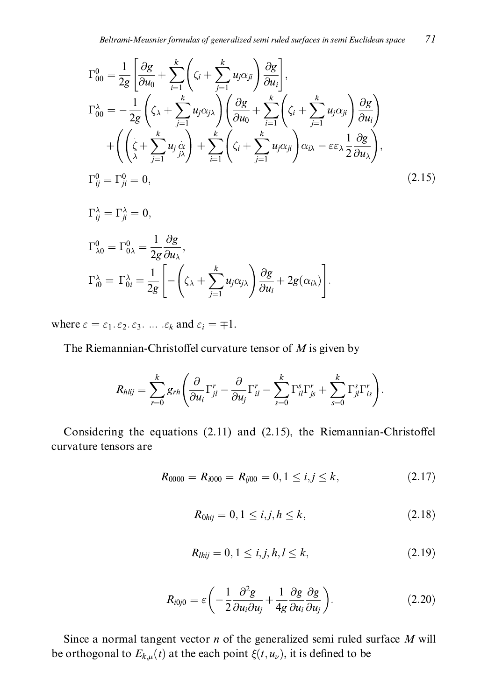$$
\Gamma_{00}^{0} = \frac{1}{2g} \left[ \frac{\partial g}{\partial u_{0}} + \sum_{i=1}^{k} \left( \zeta_{i} + \sum_{j=1}^{k} u_{j} \alpha_{ji} \right) \frac{\partial g}{\partial u_{i}} \right],
$$
\n
$$
\Gamma_{00}^{\lambda} = -\frac{1}{2g} \left( \zeta_{\lambda} + \sum_{j=1}^{k} u_{j} \alpha_{j\lambda} \right) \left( \frac{\partial g}{\partial u_{0}} + \sum_{i=1}^{k} \left( \zeta_{i} + \sum_{j=1}^{k} u_{j} \alpha_{ji} \right) \frac{\partial g}{\partial u_{i}} \right)
$$
\n
$$
+ \left( \left( \zeta + \sum_{j=1}^{k} u_{j} \frac{\alpha_{j}}{\beta \lambda} \right) + \sum_{i=1}^{k} \left( \zeta_{i} + \sum_{j=1}^{k} u_{j} \alpha_{ji} \right) \alpha_{i\lambda} - \varepsilon \varepsilon_{\lambda} \frac{1}{2} \frac{\partial g}{\partial u_{\lambda}} \right),
$$
\n
$$
\Gamma_{ij}^{0} = \Gamma_{ji}^{0} = 0,
$$
\n(2.15)

$$
\Gamma_{ij}^{\lambda} = \Gamma_{ji}^{\lambda} = 0,
$$
  
\n
$$
\Gamma_{\lambda 0}^{0} = \Gamma_{0\lambda}^{0} = \frac{1}{2g} \frac{\partial g}{\partial u_{\lambda}},
$$
  
\n
$$
\Gamma_{i0}^{\lambda} = \Gamma_{0i}^{\lambda} = \frac{1}{2g} \left[ - \left( \zeta_{\lambda} + \sum_{j=1}^{k} u_{j} \alpha_{j\lambda} \right) \frac{\partial g}{\partial u_{i}} + 2g(\alpha_{i\lambda}) \right].
$$

where  $\varepsilon = \varepsilon_1 \cdot \varepsilon_2 \cdot \varepsilon_3$ , ...  $\varepsilon_k$  and  $\varepsilon_i = \pm 1$ .

The Riemannian-Christoffel curvature tensor of  $M$  is given by

$$
R_{hlij} = \sum_{r=0}^{k} g_{rh} \left( \frac{\partial}{\partial u_i} \Gamma_{jl}^r - \frac{\partial}{\partial u_j} \Gamma_{il}^r - \sum_{s=0}^{k} \Gamma_{il}^s \Gamma_{js}^r + \sum_{s=0}^{k} \Gamma_{jl}^s \Gamma_{is}^r \right).
$$

Considering the equations (2.11) and (2.15), the Riemannian-Christoffel curvature tensors are

$$
R_{0000} = R_{i000} = R_{ij00} = 0, 1 \le i, j \le k,
$$
\n(2.17)

$$
R_{0hij} = 0, 1 \le i, j, h \le k,
$$
\n(2.18)

$$
R_{\text{Inij}} = 0, 1 \le i, j, h, l \le k,\tag{2.19}
$$

$$
R_{i0j0} = \varepsilon \left( -\frac{1}{2} \frac{\partial^2 g}{\partial u_i \partial u_j} + \frac{1}{4g} \frac{\partial g}{\partial u_i} \frac{\partial g}{\partial u_j} \right).
$$
 (2.20)

Since a normal tangent vector  $n$  of the generalized semi ruled surface  $M$  will be orthogonal to  $E_{k,\mu}(t)$  at the each point  $\xi(t, u_{\nu})$ , it is defined to be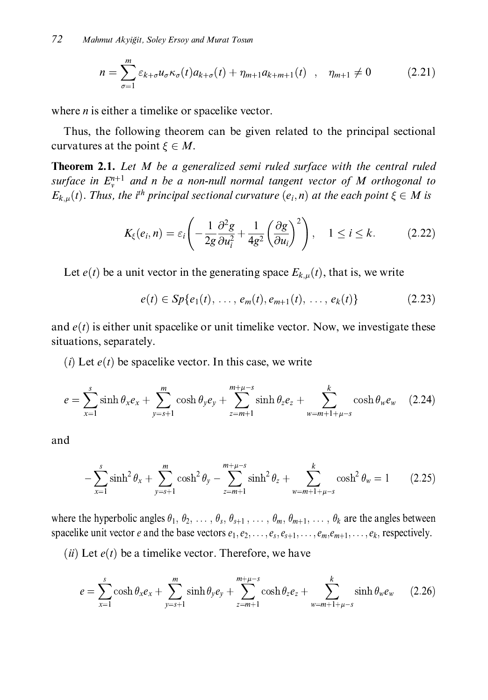$$
n = \sum_{\sigma=1}^{m} \varepsilon_{k+\sigma} u_{\sigma} \kappa_{\sigma}(t) a_{k+\sigma}(t) + \eta_{m+1} a_{k+m+1}(t) \quad , \quad \eta_{m+1} \neq 0 \tag{2.21}
$$

where  $n$  is either a timelike or spacelike vector.

Thus, the following theorem can be given related to the principal sectional curvatures at the point  $\xi \in M$ .

**Theorem 2.1.** Let M be a generalized semi ruled surface with the central ruled surface in  $E_v^{n+1}$  and n be a non-null normal tangent vector of M orthogonal to  $E_{k,u}(t)$ . Thus, the i<sup>th</sup> principal sectional curvature  $(e_i, n)$  at the each point  $\xi \in M$  is

$$
K_{\xi}(e_i, n) = \varepsilon_i \left( -\frac{1}{2g} \frac{\partial^2 g}{\partial u_i^2} + \frac{1}{4g^2} \left( \frac{\partial g}{\partial u_i} \right)^2 \right), \quad 1 \le i \le k. \tag{2.22}
$$

Let  $e(t)$  be a unit vector in the generating space  $E_{k,\mu}(t)$ , that is, we write

$$
e(t) \in Sp\{e_1(t), \ldots, e_m(t), e_{m+1}(t), \ldots, e_k(t)\}
$$
 (2.23)

and  $e(t)$  is either unit spacelike or unit timelike vector. Now, we investigate these situations, separately.

(*i*) Let  $e(t)$  be spacelike vector. In this case, we write

$$
e = \sum_{x=1}^{s} \sinh \theta_x e_x + \sum_{y=s+1}^{m} \cosh \theta_y e_y + \sum_{z=m+1}^{m+\mu-s} \sinh \theta_z e_z + \sum_{w=m+1+\mu-s}^{k} \cosh \theta_w e_w \quad (2.24)
$$

and

$$
-\sum_{x=1}^{s} \sinh^{2} \theta_{x} + \sum_{y=s+1}^{m} \cosh^{2} \theta_{y} - \sum_{z=m+1}^{m+\mu-s} \sinh^{2} \theta_{z} + \sum_{w=m+1+\mu-s}^{k} \cosh^{2} \theta_{w} = 1 \qquad (2.25)
$$

where the hyperbolic angles  $\theta_1, \theta_2, \ldots, \theta_s, \theta_{s+1}, \ldots, \theta_m, \theta_{m+1}, \ldots, \theta_k$  are the angles between spacelike unit vector e and the base vectors  $e_1, e_2, \ldots, e_s, e_{s+1}, \ldots, e_m, e_{m+1}, \ldots, e_k$ , respectively.

(ii) Let  $e(t)$  be a timelike vector. Therefore, we have

$$
e = \sum_{x=1}^{s} \cosh \theta_x e_x + \sum_{y=s+1}^{m} \sinh \theta_y e_y + \sum_{z=m+1}^{m+\mu-s} \cosh \theta_z e_z + \sum_{w=m+1+\mu-s}^{k} \sinh \theta_w e_w \qquad (2.26)
$$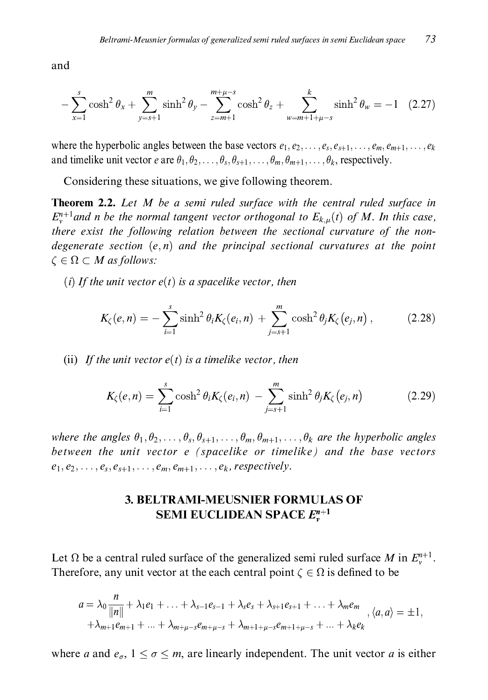and

$$
-\sum_{x=1}^{s} \cosh^{2} \theta_{x} + \sum_{y=s+1}^{m} \sinh^{2} \theta_{y} - \sum_{z=m+1}^{m+\mu-s} \cosh^{2} \theta_{z} + \sum_{w=m+1+\mu-s}^{k} \sinh^{2} \theta_{w} = -1 \quad (2.27)
$$

where the hyperbolic angles between the base vectors  $e_1, e_2, \ldots, e_s, e_{s+1}, \ldots, e_m, e_{m+1}, \ldots, e_k$ and timelike unit vector e are  $\theta_1, \theta_2, \ldots, \theta_s, \theta_{s+1}, \ldots, \theta_m, \theta_{m+1}, \ldots, \theta_k$ , respectively.

Considering these situations, we give following theorem.

**Theorem 2.2.** Let M be a semi ruled surface with the central ruled surface in  $E_{n}^{n+1}$  and n be the normal tangent vector orthogonal to  $E_{k,n}(t)$  of M. In this case, there exist the following relation between the sectional curvature of the nondegenerate section  $(e, n)$  and the principal sectional curvatures at the point  $\zeta \in \Omega \subset M$  as follows:

(i) If the unit vector  $e(t)$  is a spacelike vector, then

$$
K_{\zeta}(e,n) = -\sum_{i=1}^{s} \sinh^{2} \theta_{i} K_{\zeta}(e_{i},n) + \sum_{j=s+1}^{m} \cosh^{2} \theta_{j} K_{\zeta}(e_{j},n) , \qquad (2.28)
$$

(ii) If the unit vector  $e(t)$  is a timelike vector, then

$$
K_{\zeta}(e, n) = \sum_{i=1}^{s} \cosh^{2} \theta_{i} K_{\zeta}(e_{i}, n) - \sum_{j=s+1}^{m} \sinh^{2} \theta_{j} K_{\zeta}(e_{j}, n)
$$
(2.29)

where the angles  $\theta_1, \theta_2, \ldots, \theta_s, \theta_{s+1}, \ldots, \theta_m, \theta_{m+1}, \ldots, \theta_k$  are the hyperbolic angles between the unit vector e (spacelike or timelike) and the base vectors  $e_1, e_2, \ldots, e_s, e_{s+1}, \ldots, e_m, e_{m+1}, \ldots, e_k$ , respectively.

## **3. BELTRAMI-MEUSNIER FORMULAS OF SEMI EUCLIDEAN SPACE**  $E_v^{n+1}$

Let  $\Omega$  be a central ruled surface of the generalized semi ruled surface M in  $E_v^{n+1}$ . Therefore, any unit vector at the each central point  $\zeta \in \Omega$  is defined to be

$$
a = \lambda_0 \frac{n}{\|n\|} + \lambda_1 e_1 + \ldots + \lambda_{s-1} e_{s-1} + \lambda_s e_s + \lambda_{s+1} e_{s+1} + \ldots + \lambda_m e_m
$$
  
 
$$
+ \lambda_{m+1} e_{m+1} + \ldots + \lambda_{m+\mu-s} e_{m+\mu-s} + \lambda_{m+1+\mu-s} e_{m+1+\mu-s} + \ldots + \lambda_k e_k
$$

where a and  $e_{\sigma}$ ,  $1 \leq \sigma \leq m$ , are linearly independent. The unit vector a is either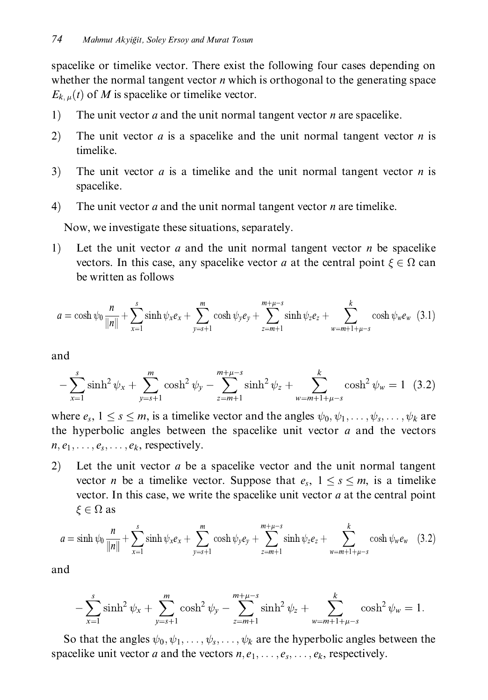spacelike or timelike vector. There exist the following four cases depending on whether the normal tangent vector  $n$  which is orthogonal to the generating space  $E_{k,u}(t)$  of M is spacelike or timelike vector.

- $1)$ The unit vector  $a$  and the unit normal tangent vector  $n$  are spacelike.
- $2)$ The unit vector  $a$  is a spacelike and the unit normal tangent vector  $n$  is timelike.
- The unit vector  $a$  is a timelike and the unit normal tangent vector  $n$  is  $3)$ spacelike.
- $4)$ The unit vector  $a$  and the unit normal tangent vector  $n$  are timelike.

Now, we investigate these situations, separately.

 $1)$ Let the unit vector  $a$  and the unit normal tangent vector  $n$  be spacelike vectors. In this case, any spacelike vector a at the central point  $\xi \in \Omega$  can be written as follows

$$
a = \cosh \psi_0 \frac{n}{\|n\|} + \sum_{x=1}^s \sinh \psi_x e_x + \sum_{y=s+1}^m \cosh \psi_y e_y + \sum_{z=m+1}^{m+\mu-s} \sinh \psi_z e_z + \sum_{w=m+1+\mu-s}^k \cosh \psi_w e_w \quad (3.1)
$$

and

$$
-\sum_{x=1}^{s} \sinh^{2} \psi_{x} + \sum_{y=s+1}^{m} \cosh^{2} \psi_{y} - \sum_{z=m+1}^{m+\mu-s} \sinh^{2} \psi_{z} + \sum_{w=m+1+\mu-s}^{k} \cosh^{2} \psi_{w} = 1 \quad (3.2)
$$

where  $e_s$ ,  $1 \leq s \leq m$ , is a timelike vector and the angles  $\psi_0, \psi_1, \dots, \psi_s, \dots, \psi_k$  are the hyperbolic angles between the spacelike unit vector  $a$  and the vectors  $n, e_1, \ldots, e_s, \ldots, e_k$ , respectively.

 $(2)$ Let the unit vector a be a spacelike vector and the unit normal tangent vector *n* be a timelike vector. Suppose that  $e_s$ ,  $1 \leq s \leq m$ , is a timelike vector. In this case, we write the spacelike unit vector  $a$  at the central point  $\xi \in \Omega$  as

$$
a = \sinh \psi_0 \frac{n}{\|n\|} + \sum_{x=1}^{s} \sinh \psi_x e_x + \sum_{y=s+1}^{m} \cosh \psi_y e_y + \sum_{z=m+1}^{m+\mu-s} \sinh \psi_z e_z + \sum_{w=m+1+\mu-s}^{k} \cosh \psi_w e_w \quad (3.2)
$$

and

$$
-\sum_{x=1}^{s} \sinh^{2} \psi_{x} + \sum_{y=s+1}^{m} \cosh^{2} \psi_{y} - \sum_{z=m+1}^{m+\mu-s} \sinh^{2} \psi_{z} + \sum_{w=m+1+\mu-s}^{k} \cosh^{2} \psi_{w} = 1.
$$

So that the angles  $\psi_0, \psi_1, \dots, \psi_s, \dots, \psi_k$  are the hyperbolic angles between the spacelike unit vector a and the vectors  $n, e_1, \ldots, e_s, \ldots, e_k$ , respectively.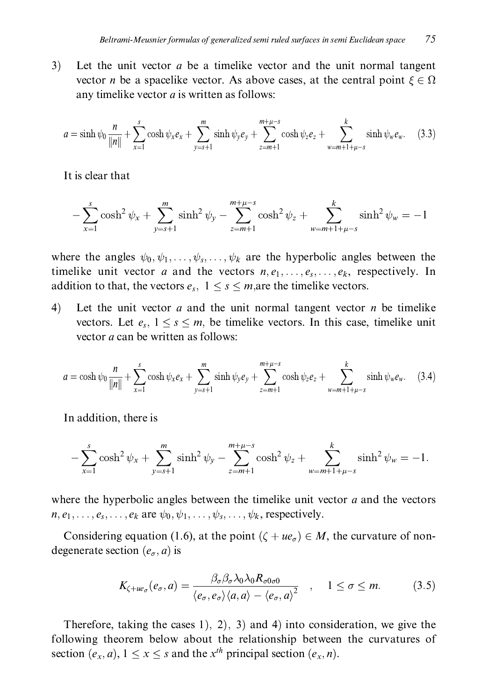$3)$ Let the unit vector  $a$  be a timelike vector and the unit normal tangent vector *n* be a spacelike vector. As above cases, at the central point  $\xi \in \Omega$ any timelike vector *a* is written as follows:

$$
a = \sinh \psi_0 \frac{n}{\|n\|} + \sum_{x=1}^s \cosh \psi_x e_x + \sum_{y=s+1}^m \sinh \psi_y e_y + \sum_{z=m+1}^{m+\mu-s} \cosh \psi_z e_z + \sum_{w=m+1+\mu-s}^k \sinh \psi_w e_w. \tag{3.3}
$$

It is clear that

$$
-\sum_{x=1}^{s} \cosh^{2} \psi_{x} + \sum_{y=s+1}^{m} \sinh^{2} \psi_{y} - \sum_{z=m+1}^{m+\mu-s} \cosh^{2} \psi_{z} + \sum_{w=m+1+\mu-s}^{k} \sinh^{2} \psi_{w} = -1
$$

where the angles  $\psi_0, \psi_1, \dots, \psi_s, \dots, \psi_k$  are the hyperbolic angles between the timelike unit vector a and the vectors  $n, e_1, \ldots, e_s, \ldots, e_k$ , respectively. In addition to that, the vectors  $e_s$ ,  $1 \leq s \leq m$ , are the timelike vectors.

 $4)$ Let the unit vector  $a$  and the unit normal tangent vector  $n$  be timelike vectors. Let  $e_s$ ,  $1 \leq s \leq m$ , be timelike vectors. In this case, timelike unit vector *a* can be written as follows:

$$
a = \cosh \psi_0 \frac{n}{\|n\|} + \sum_{x=1}^s \cosh \psi_x e_x + \sum_{y=s+1}^m \sinh \psi_y e_y + \sum_{z=m+1}^{m+\mu-s} \cosh \psi_z e_z + \sum_{w=m+1+\mu-s}^k \sinh \psi_w e_w. \tag{3.4}
$$

In addition, there is

$$
-\sum_{x=1}^{s} \cosh^{2} \psi_{x} + \sum_{y=s+1}^{m} \sinh^{2} \psi_{y} - \sum_{z=m+1}^{m+\mu-s} \cosh^{2} \psi_{z} + \sum_{w=m+1+\mu-s}^{k} \sinh^{2} \psi_{w} = -1.
$$

where the hyperbolic angles between the timelike unit vector  $a$  and the vectors  $n, e_1, \ldots, e_s, \ldots, e_k$  are  $\psi_0, \psi_1, \ldots, \psi_s, \ldots, \psi_k$ , respectively.

Considering equation (1.6), at the point  $(\zeta + ue_{\sigma}) \in M$ , the curvature of nondegenerate section  $(e_{\sigma}, a)$  is

$$
K_{\zeta + u e_{\sigma}}(e_{\sigma}, a) = \frac{\beta_{\sigma}\beta_{\sigma}\lambda_0\lambda_0 R_{\sigma 0 \sigma 0}}{\langle e_{\sigma}, e_{\sigma} \rangle \langle a, a \rangle - \langle e_{\sigma}, a \rangle^2}, \quad 1 \le \sigma \le m.
$$
 (3.5)

Therefore, taking the cases 1), 2), 3) and 4) into consideration, we give the following theorem below about the relationship between the curvatures of section  $(e_x, a)$ ,  $1 \le x \le s$  and the  $x^{th}$  principal section  $(e_x, n)$ .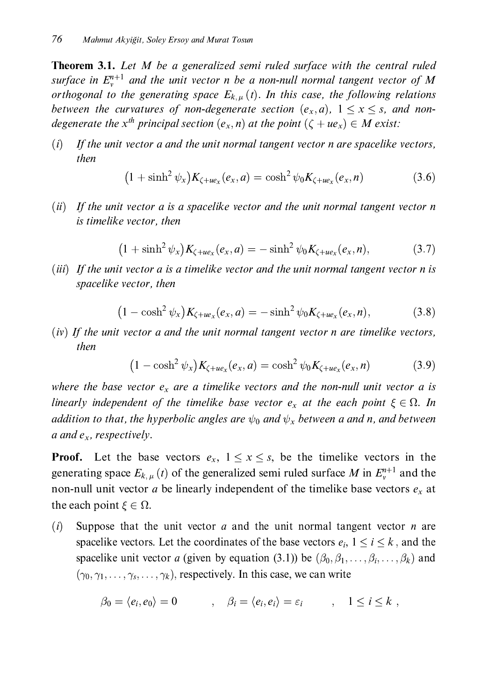**Theorem 3.1.** Let M be a generalized semi ruled surface with the central ruled surface in  $E_v^{n+1}$  and the unit vector n be a non-null normal tangent vector of M orthogonal to the generating space  $E_{k,u}(t)$ . In this case, the following relations between the curvatures of non-degenerate section  $(e_x, a)$ ,  $1 \le x \le s$ , and nondegenerate the  $x^{th}$  principal section  $(e_x, n)$  at the point  $(\zeta + ue_x) \in M$  exist:

 $(i)$ If the unit vector a and the unit normal tangent vector n are spacelike vectors. then

$$
(1 + \sinh^2 \psi_x) K_{\zeta + u e_x}(e_x, a) = \cosh^2 \psi_0 K_{\zeta + u e_x}(e_x, n)
$$
 (3.6)

 $(ii)$  If the unit vector a is a spacelike vector and the unit normal tangent vector n is timelike vector, then

$$
(1 + \sinh^2 \psi_x) K_{\zeta + u e_x}(e_x, a) = - \sinh^2 \psi_0 K_{\zeta + u e_x}(e_x, a), \qquad (3.7)
$$

(iii) If the unit vector a is a timelike vector and the unit normal tangent vector n is spacelike vector, then

$$
(1 - \cosh^2 \psi_x) K_{\zeta + u e_x}(e_x, a) = -\sinh^2 \psi_0 K_{\zeta + u e_x}(e_x, n), \tag{3.8}
$$

 $(iv)$  If the unit vector a and the unit normal tangent vector n are timelike vectors, then

$$
(1 - \cosh^2 \psi_x) K_{\zeta + u e_x}(e_x, a) = \cosh^2 \psi_0 K_{\zeta + u e_x}(e_x, n) \tag{3.9}
$$

where the base vector  $e_x$  are a timelike vectors and the non-null unit vector a is linearly independent of the timelike base vector  $e_x$  at the each point  $\xi \in \Omega$ . In addition to that, the hyperbolic angles are  $\psi_0$  and  $\psi_x$  between a and n, and between a and  $e_x$ , respectively.

**Proof.** Let the base vectors  $e_x$ ,  $1 \le x \le s$ , be the timelike vectors in the generating space  $E_{k,\mu}(t)$  of the generalized semi ruled surface M in  $E_{\nu}^{n+1}$  and the non-null unit vector *a* be linearly independent of the timelike base vectors  $e_x$  at the each point  $\xi \in \Omega$ .

 $(i)$ Suppose that the unit vector  $a$  and the unit normal tangent vector  $n$  are spacelike vectors. Let the coordinates of the base vectors  $e_i$ ,  $1 \le i \le k$ , and the spacelike unit vector a (given by equation (3.1)) be  $(\beta_0, \beta_1, \dots, \beta_i, \dots, \beta_k)$  and  $(\gamma_0, \gamma_1, \ldots, \gamma_s, \ldots, \gamma_k)$ , respectively. In this case, we can write

$$
\beta_0 = \langle e_i, e_0 \rangle = 0 \qquad , \quad \beta_i = \langle e_i, e_i \rangle = \varepsilon_i \qquad , \quad 1 \leq i \leq k \ ,
$$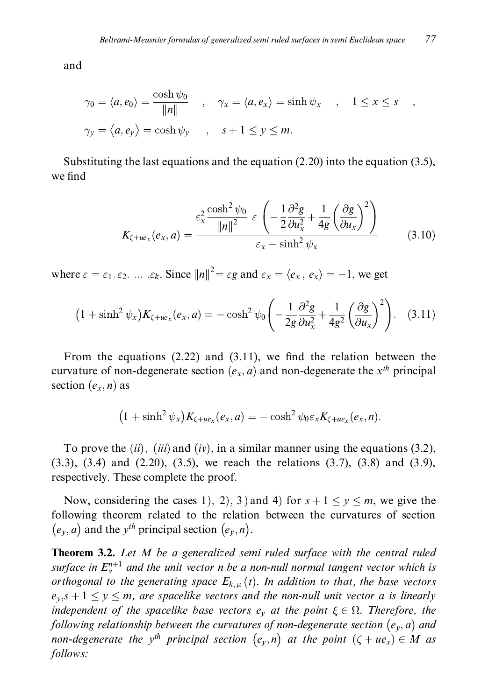and

$$
\gamma_0 = \langle a, e_0 \rangle = \frac{\cosh \psi_0}{\|n\|} \quad , \quad \gamma_x = \langle a, e_x \rangle = \sinh \psi_x \quad , \quad 1 \le x \le s \quad ,
$$
  

$$
\gamma_y = \langle a, e_y \rangle = \cosh \psi_y \quad , \quad s + 1 \le y \le m.
$$

Substituting the last equations and the equation  $(2.20)$  into the equation  $(3.5)$ , we find

$$
K_{\zeta + u\epsilon_x}(e_x, a) = \frac{\epsilon_x^2 \frac{\cosh^2 \psi_0}{\|n\|^2} \varepsilon \left(-\frac{1}{2} \frac{\partial^2 g}{\partial u_x^2} + \frac{1}{4g} \left(\frac{\partial g}{\partial u_x}\right)^2\right)}{\varepsilon_x - \sinh^2 \psi_x} \tag{3.10}
$$

where  $\varepsilon = \varepsilon_1 \varepsilon_2$ . ...  $\varepsilon_k$ . Since  $||n||^2 = \varepsilon g$  and  $\varepsilon_x = \langle e_x, e_x \rangle = -1$ , we get

$$
(1+\sinh^2 \psi_x)K_{\zeta+ue_x}(e_x,a)=-\cosh^2 \psi_0\left(-\frac{1}{2g}\frac{\partial^2 g}{\partial u_x^2}+\frac{1}{4g^2}\left(\frac{\partial g}{\partial u_x}\right)^2\right).
$$
 (3.11)

From the equations  $(2.22)$  and  $(3.11)$ , we find the relation between the curvature of non-degenerate section  $(e_x, a)$  and non-degenerate the  $x^{th}$  principal section  $(e_x, n)$  as

$$
(1+\sinh^2 \psi_x)K_{\zeta+ue_x}(e_x,a)=-\cosh^2 \psi_0 \varepsilon_x K_{\zeta+ue_x}(e_x,n).
$$

To prove the  $(ii)$ ,  $(iii)$  and  $(iv)$ , in a similar manner using the equations (3.2),  $(3.3)$ ,  $(3.4)$  and  $(2.20)$ ,  $(3.5)$ , we reach the relations  $(3.7)$ ,  $(3.8)$  and  $(3.9)$ , respectively. These complete the proof.

Now, considering the cases 1), 2), 3) and 4) for  $s + 1 \le y \le m$ , we give the following theorem related to the relation between the curvatures of section  $(e_v, a)$  and the  $v^{th}$  principal section  $(e_v, n)$ .

**Theorem 3.2.** Let M be a generalized semi ruled surface with the central ruled surface in  $E_v^{n+1}$  and the unit vector n be a non-null normal tangent vector which is orthogonal to the generating space  $E_{k,\mu}(t)$ . In addition to that, the base vectors  $e_v$ ,  $s + 1 \le y \le m$ , are spacelike vectors and the non-null unit vector a is linearly independent of the spacelike base vectors  $e_y$  at the point  $\xi \in \Omega$ . Therefore, the following relationship between the curvatures of non-degenerate section  $(e_y, a)$  and non-degenerate the y<sup>th</sup> principal section  $(e_v, n)$  at the point  $(\zeta + ue_x) \in M$  as follows: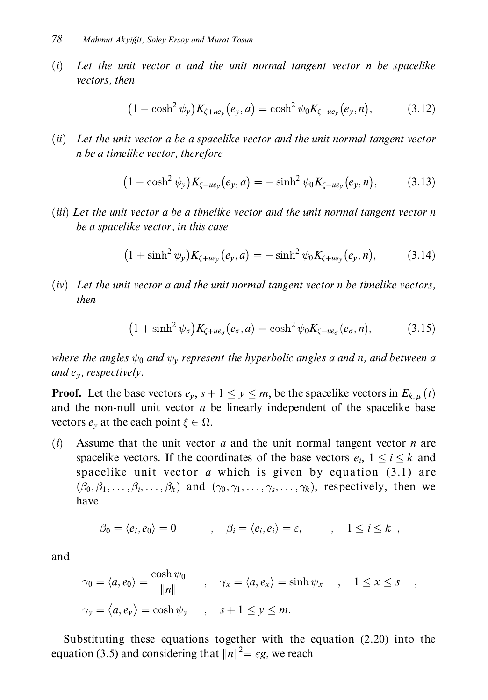$(i)$ Let the unit vector a and the unit normal tangent vector n be spacelike vectors, then

$$
(1 - \cosh^2 \psi_y) K_{\zeta + u e_y}(e_y, a) = \cosh^2 \psi_0 K_{\zeta + u e_y}(e_y, n), \qquad (3.12)
$$

(ii) Let the unit vector a be a spacelike vector and the unit normal tangent vector n be a timelike vector, therefore

$$
(1 - \cosh^2 \psi_y) K_{\zeta + u e_y}(e_y, a) = -\sinh^2 \psi_0 K_{\zeta + u e_y}(e_y, n), \qquad (3.13)
$$

(iii) Let the unit vector a be a timelike vector and the unit normal tangent vector n be a spacelike vector, in this case

$$
(1+\sinh^2 \psi_y)K_{\zeta+u e_y}(e_y,a) = -\sinh^2 \psi_0 K_{\zeta+u e_y}(e_y,n), \qquad (3.14)
$$

 $(iv)$  Let the unit vector a and the unit normal tangent vector n be timelike vectors, then

$$
(1+\sinh^2 \psi_{\sigma})K_{\zeta + u e_{\sigma}}(e_{\sigma}, a) = \cosh^2 \psi_0 K_{\zeta + u e_{\sigma}}(e_{\sigma}, n), \tag{3.15}
$$

where the angles  $\psi_0$  and  $\psi_v$  represent the hyperbolic angles a and n, and between a and  $e_v$ , respectively.

**Proof.** Let the base vectors  $e_y$ ,  $s + 1 \le y \le m$ , be the spacelike vectors in  $E_{k,\mu}(t)$ and the non-null unit vector  $a$  be linearly independent of the spacelike base vectors  $e_v$  at the each point  $\xi \in \Omega$ .

Assume that the unit vector  $a$  and the unit normal tangent vector  $n$  are  $(i)$ spacelike vectors. If the coordinates of the base vectors  $e_i$ ,  $1 \le i \le k$  and spacelike unit vector  $a$  which is given by equation (3.1) are  $(\beta_0, \beta_1, \ldots, \beta_i, \ldots, \beta_k)$  and  $(\gamma_0, \gamma_1, \ldots, \gamma_s, \ldots, \gamma_k)$ , respectively, then we have

$$
\beta_0 = \langle e_i, e_0 \rangle = 0 \qquad , \quad \beta_i = \langle e_i, e_i \rangle = \varepsilon_i \qquad , \quad 1 \leq i \leq k \; ,
$$

and

$$
\gamma_0 = \langle a, e_0 \rangle = \frac{\cosh \psi_0}{\|n\|} \qquad , \quad \gamma_x = \langle a, e_x \rangle = \sinh \psi_x \qquad , \quad 1 \le x \le s \qquad ,
$$
  

$$
\gamma_y = \langle a, e_y \rangle = \cosh \psi_y \qquad , \quad s + 1 \le y \le m.
$$

Substituting these equations together with the equation  $(2.20)$  into the equation (3.5) and considering that  $||n||^2 = \varepsilon g$ , we reach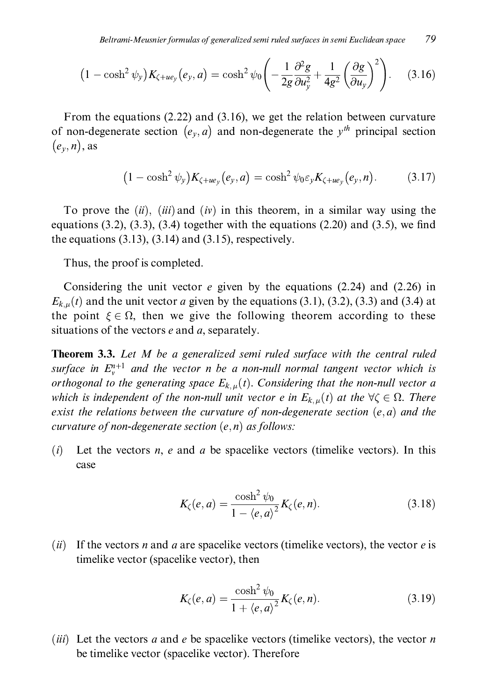$$
(1 - \cosh^2 \psi_y) K_{\zeta + u e_y}(e_y, a) = \cosh^2 \psi_0 \left( -\frac{1}{2g} \frac{\partial^2 g}{\partial u_y^2} + \frac{1}{4g^2} \left( \frac{\partial g}{\partial u_y} \right)^2 \right). \tag{3.16}
$$

From the equations  $(2.22)$  and  $(3.16)$ , we get the relation between curvature of non-degenerate section  $(e_y, a)$  and non-degenerate the  $y^{th}$  principal section  $(e_v, n)$ , as

$$
(1 - \cosh^2 \psi_y) K_{\zeta + u e_y}(e_y, a) = \cosh^2 \psi_0 \varepsilon_y K_{\zeta + u e_y}(e_y, n). \tag{3.17}
$$

To prove the  $(ii)$ ,  $(iii)$  and  $(iv)$  in this theorem, in a similar way using the equations  $(3.2)$ ,  $(3.3)$ ,  $(3.4)$  together with the equations  $(2.20)$  and  $(3.5)$ , we find the equations  $(3.13)$ ,  $(3.14)$  and  $(3.15)$ , respectively.

Thus, the proof is completed.

Considering the unit vector  $e$  given by the equations (2.24) and (2.26) in  $E_{k,\mu}(t)$  and the unit vector *a* given by the equations (3.1), (3.2), (3.3) and (3.4) at the point  $\xi \in \Omega$ , then we give the following theorem according to these situations of the vectors  $e$  and  $a$ , separately.

**Theorem 3.3.** Let M be a generalized semi ruled surface with the central ruled surface in  $E_v^{n+1}$  and the vector n be a non-null normal tangent vector which is orthogonal to the generating space  $E_{k,u}(t)$ . Considering that the non-null vector a which is independent of the non-null unit vector e in  $E_{k,u}(t)$  at the  $\forall \zeta \in \Omega$ . There exist the relations between the curvature of non-degenerate section  $(e, a)$  and the curvature of non-degenerate section  $(e, n)$  as follows:

Let the vectors  $n$ ,  $e$  and  $a$  be spacelike vectors (timelike vectors). In this  $(i)$ case

$$
K_{\zeta}(e, a) = \frac{\cosh^2 \psi_0}{1 - \langle e, a \rangle^2} K_{\zeta}(e, n). \tag{3.18}
$$

(ii) If the vectors *n* and *a* are spacelike vectors (timelike vectors), the vector *e* is timelike vector (spacelike vector), then

$$
K_{\zeta}(e,a) = \frac{\cosh^2 \psi_0}{1 + \langle e, a \rangle^2} K_{\zeta}(e,n). \tag{3.19}
$$

*(iii)* Let the vectors *a* and *e* be spacelike vectors (timelike vectors), the vector *n* be timelike vector (spacelike vector). Therefore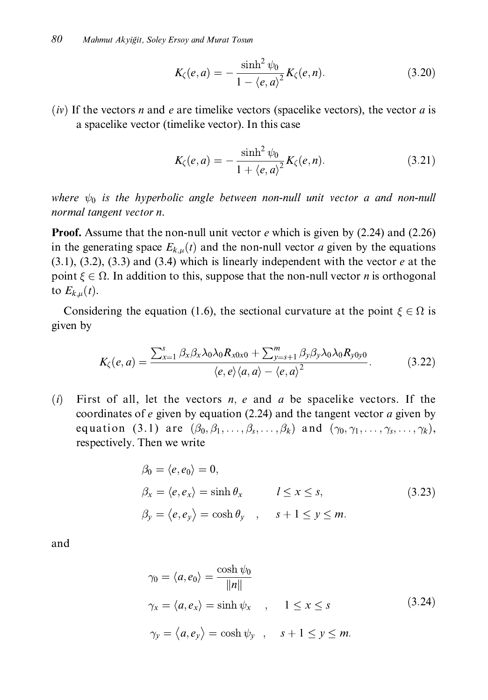$$
K_{\zeta}(e, a) = -\frac{\sinh^2 \psi_0}{1 - \langle e, a \rangle^2} K_{\zeta}(e, n).
$$
 (3.20)

 $(iv)$  If the vectors *n* and *e* are timelike vectors (spacelike vectors), the vector *a* is a spacelike vector (timelike vector). In this case

$$
K_{\zeta}(e, a) = -\frac{\sinh^2 \psi_0}{1 + \langle e, a \rangle^2} K_{\zeta}(e, n). \tag{3.21}
$$

where  $\psi_0$  is the hyperbolic angle between non-null unit vector a and non-null normal tangent vector n.

**Proof.** Assume that the non-null unit vector  $e$  which is given by (2.24) and (2.26) in the generating space  $E_{k,u}(t)$  and the non-null vector *a* given by the equations  $(3.1)$ ,  $(3.2)$ ,  $(3.3)$  and  $(3.4)$  which is linearly independent with the vector e at the point  $\xi \in \Omega$ . In addition to this, suppose that the non-null vector *n* is orthogonal to  $E_{k,u}(t)$ .

Considering the equation (1.6), the sectional curvature at the point  $\xi \in \Omega$  is given by

$$
K_{\zeta}(e,a) = \frac{\sum_{x=1}^{s} \beta_{x} \beta_{x} \lambda_{0} \lambda_{0} R_{x0x0} + \sum_{y=s+1}^{m} \beta_{y} \beta_{y} \lambda_{0} \lambda_{0} R_{y0y0}}{\langle e, e \rangle \langle a, a \rangle - \langle e, a \rangle^{2}}.
$$
(3.22)

 $(i)$ First of all, let the vectors  $n$ ,  $e$  and  $a$  be spacelike vectors. If the coordinates of  $e$  given by equation (2.24) and the tangent vector  $a$  given by equation (3.1) are  $(\beta_0, \beta_1, \ldots, \beta_s, \ldots, \beta_k)$  and  $(\gamma_0, \gamma_1, \ldots, \gamma_s, \ldots, \gamma_k)$ , respectively. Then we write

$$
\beta_0 = \langle e, e_0 \rangle = 0,
$$
  
\n
$$
\beta_x = \langle e, e_x \rangle = \sinh \theta_x \qquad l \le x \le s,
$$
  
\n
$$
\beta_y = \langle e, e_y \rangle = \cosh \theta_y \qquad s + 1 \le y \le m.
$$
\n(3.23)

and

$$
\gamma_0 = \langle a, e_0 \rangle = \frac{\cosh \psi_0}{\|n\|} \n\gamma_x = \langle a, e_x \rangle = \sinh \psi_x , \quad 1 \le x \le s \n\gamma_y = \langle a, e_y \rangle = \cosh \psi_y , \quad s + 1 \le y \le m.
$$
\n(3.24)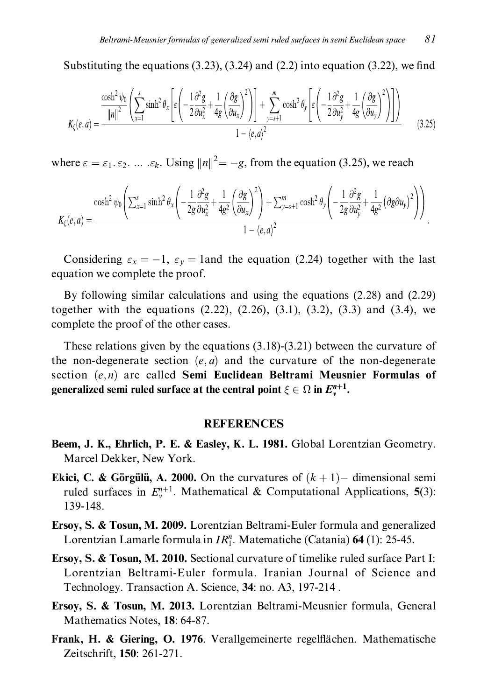Substituting the equations  $(3.23)$ ,  $(3.24)$  and  $(2.2)$  into equation  $(3.22)$ , we find

$$
K_{\zeta}(e,a) = \frac{\frac{\cosh^2 \psi_0}{\|n\|^2} \left( \sum_{x=1}^s \sinh^2 \theta_x \left[ \varepsilon \left( -\frac{1}{2} \frac{\partial^2 g}{\partial u_x^2} + \frac{1}{4g} \left( \frac{\partial g}{\partial u_x} \right)^2 \right) \right] + \sum_{y=s+1}^m \cosh^2 \theta_y \left[ \varepsilon \left( -\frac{1}{2} \frac{\partial^2 g}{\partial u_y^2} + \frac{1}{4g} \left( \frac{\partial g}{\partial u_y} \right)^2 \right) \right] \right)}{1 - \langle e, a \rangle^2}
$$
(3.25)

where  $\varepsilon = \varepsilon_1, \varepsilon_2, \dots, \varepsilon_k$ . Using  $||n||^2 = -g$ , from the equation (3.25), we reach

$$
K_{\zeta}(e,a) = \frac{\cosh^2\psi_0\left(\sum_{x=1}^s\sinh^2\theta_x\left(-\frac{1}{2g}\frac{\partial^2 g}{\partial u_x^2} + \frac{1}{4g^2}\left(\frac{\partial g}{\partial u_x}\right)^2\right) + \sum_{y=s+1}^m\cosh^2\theta_y\left(-\frac{1}{2g}\frac{\partial^2 g}{\partial u_y^2} + \frac{1}{4g^2}\left(\partial g\partial u_y\right)^2\right)\right)}{1 - \langle e,a\rangle^2}.
$$

Considering  $\varepsilon_x = -1$ ,  $\varepsilon_y = 1$  and the equation (2.24) together with the last equation we complete the proof.

By following similar calculations and using the equations  $(2.28)$  and  $(2.29)$ together with the equations  $(2.22)$ ,  $(2.26)$ ,  $(3.1)$ ,  $(3.2)$ ,  $(3.3)$  and  $(3.4)$ , we complete the proof of the other cases.

These relations given by the equations  $(3.18)$ - $(3.21)$  between the curvature of the non-degenerate section  $(e, a)$  and the curvature of the non-degenerate section  $(e, n)$  are called Semi Euclidean Beltrami Meusnier Formulas of generalized semi ruled surface at the central point  $\xi \in \Omega$  in  $E_{\nu}^{n+1}$ .

#### **REFERENCES**

- Beem, J. K., Ehrlich, P. E. & Easley, K. L. 1981. Global Lorentzian Geometry. Marcel Dekker, New York.
- **Ekici, C. & Görgülü, A. 2000.** On the curvatures of  $(k + 1)$  dimensional semi ruled surfaces in  $E_v^{n+1}$ . Mathematical & Computational Applications, 5(3): 139-148.
- **Ersoy, S. & Tosun, M. 2009.** Lorentzian Beltrami-Euler formula and generalized Lorentzian Lamarle formula in  $IR_1^n$ . Matematiche (Catania) 64 (1): 25-45.
- Ersoy, S. & Tosun, M. 2010. Sectional curvature of timelike ruled surface Part I: Lorentzian Beltrami-Euler formula. Iranian Journal of Science and Technology. Transaction A. Science, 34: no. A3, 197-214.
- Ersoy, S. & Tosun, M. 2013. Lorentzian Beltrami-Meusnier formula, General Mathematics Notes, 18: 64-87.
- Frank, H. & Giering, O. 1976. Verallgemeinerte regelflächen. Mathematische Zeitschrift, 150: 261-271.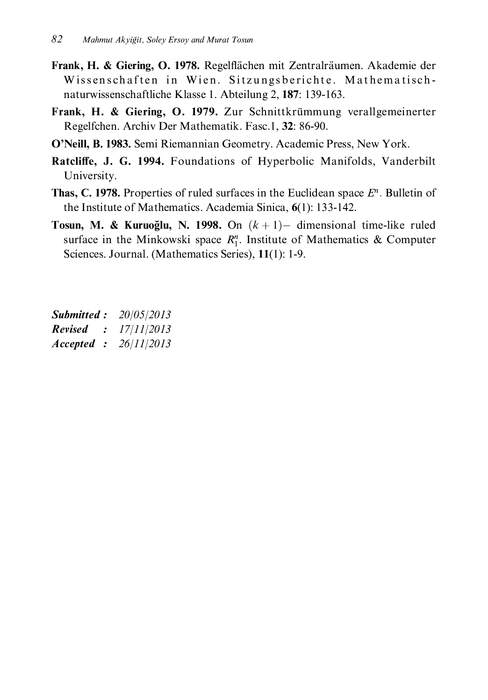- Frank, H. & Giering, O. 1978. Regelflächen mit Zentralräumen. Akademie der Wissenschaften in Wien. Sitzungsberichte. Mathematischnaturwissenschaftliche Klasse 1. Abteilung 2, 187: 139-163.
- Frank, H. & Giering, O. 1979. Zur Schnittkrümmung verallgemeinerter Regelfchen. Archiv Der Mathematik. Fasc.1, 32: 86-90.
- O'Neill, B. 1983. Semi Riemannian Geometry. Academic Press. New York.
- Ratcliffe, J. G. 1994. Foundations of Hyperbolic Manifolds, Vanderbilt University.
- **Thas, C. 1978.** Properties of ruled surfaces in the Euclidean space  $E^n$ . Bulletin of the Institute of Mathematics. Academia Sinica,  $6(1)$ : 133-142.
- **Tosun, M. & Kuruoğlu, N. 1998.** On  $(k+1)$  dimensional time-like ruled surface in the Minkowski space  $R_1^n$ . Institute of Mathematics & Computer Sciences. Journal. (Mathematics Series), 11(1): 1-9.

**Submitted:** 20/05/2013 **Revised** :  $17/11/2013$ Accepted :  $26/11/2013$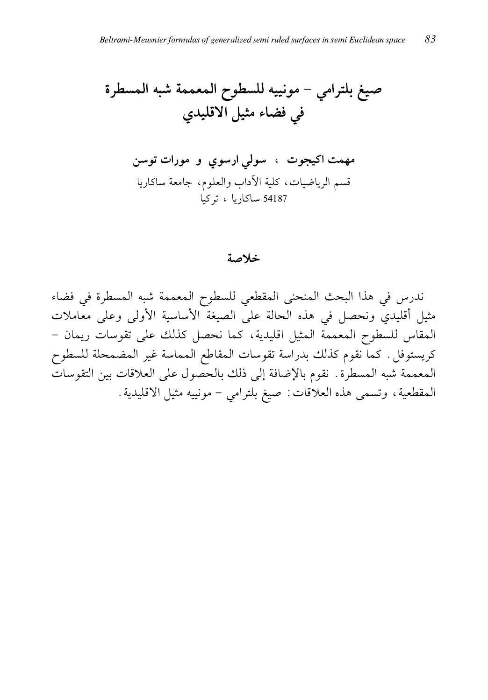#### خلاصة

ندرس في هذا البحث المنحنى المقطعي للسطوح المعممة شبه المسطرة في فضاء مثيل أقليدي ونحصل في هذه الحالة على الصيغة الأساسية الأولى وعلى معاملات المقاس للسطوح المعممة المثيل اقليدية، كما نحصل كذلك على تقوسات ريمان – كريستوفل. كما نقوم كذلك بدراسة تقوسات المقاطع المماسة غير المضمحلة للسطوح المعممة شبه المسطرة. نقوم بالإضافة إلى ذلك بالحصول على العلاقات بين التقوسات المقطعية، وتسمى هذه العلاقات: صيغ بلترامي – مونييه مثيل الاقليدية.